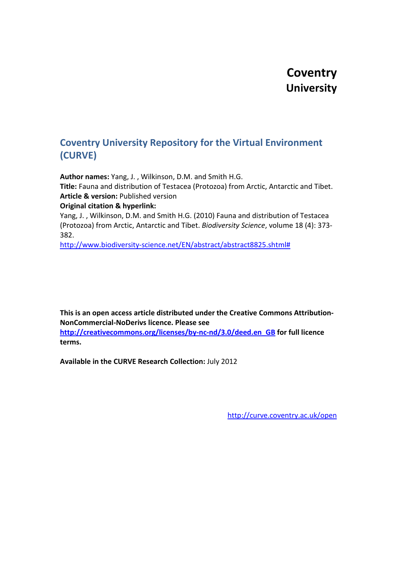# **Coventry University**

# **Coventry University Repository for the Virtual Environment (CURVE)**

**Author names:** Yang, J. , Wilkinson, D.M. and Smith H.G. **Title:** Fauna and distribution of Testacea (Protozoa) from Arctic, Antarctic and Tibet. **Article & version:** Published version **Original citation & hyperlink:**

Yang, J. , Wilkinson, D.M. and Smith H.G. (2010) Fauna and distribution of Testacea (Protozoa) from Arctic, Antarctic and Tibet. *Biodiversity Science*, volume 18 (4): 373- 382.

[http://www.biodiversity-science.net/EN/abstract/abstract8825.shtml#](http://www.biodiversity-science.net/EN/abstract/abstract8825.shtml)

**This is an open access article distributed under the Creative Commons Attribution-NonCommercial-NoDerivs licence. Please see** 

**[http://creativecommons.org/licenses/by-nc-nd/3.0/deed.en\\_GB](http://creativecommons.org/licenses/by-nc-nd/3.0/deed.en_GB) for full licence terms.**

**Available in the CURVE Research Collection:** July 2012

<http://curve.coventry.ac.uk/open>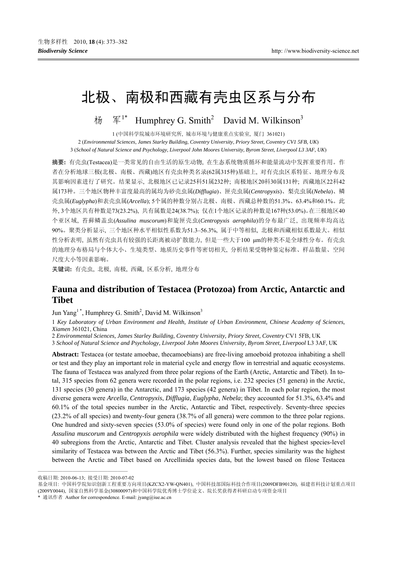# 北极、南极和西藏有壳虫区系与分布

杨 军<sup>1\*</sup> Humphrey G. Smith<sup>2</sup> David M. Wilkinson<sup>3</sup>

1 (中国科学院城市环境研究所, 城市环境与健康重点实验室, 厦门 361021) 2 (*Environmental Sciences, James Starley Building, Coventry University, Priory Street, Coventry CV1 5FB, UK*) 3 (*School of Natural Science and Psychology, Liverpool John Moores University, Byrom Street, Liverpool L3 3AF, UK*)

摘要**:** 有壳虫(Testacea)是一类常见的自由生活的原生动物, 在生态系统物质循环和能量流动中发挥重要作用。作 者在分析地球三极(北极、南极、西藏)地区有壳虫种类名录(62属315种)基础上, 对有壳虫区系特征、地理分布及 其影响因素进行了研究。结果显示, 北极地区已记录25科51属232种; 南极地区20科30属131种; 西藏地区22科42 属173种。三个地区物种丰富度最高的属均为砂壳虫属(*Difflugia*)、匣壳虫属(*Centropyxis*)、梨壳虫属(*Nebela*)、鳞 壳虫属(*Euglypha*)和表壳虫属(*Arcella*); 5个属的种数分别占北极、南极、西藏总种数的51.3%、63.4%和60.1%。此 外, 3个地区共有种数是73(23.2%), 共有属数是24(38.7%); 仅在1个地区记录的种数是167种(53.0%)。在三极地区40 个亚区域, 苔藓鳞盖虫(*Assulina muscorum*)和旋匣壳虫(*Centropyxis aerophila*)的分布最广泛, 出现频率均高达 90%。聚类分析显示, 三个地区种水平相似性系数为51.3–56.3%, 属于中等相似, 北极和西藏相似系数最大。相似 性分析表明, 虽然有壳虫具有较强的长距离被动扩散能力, 但是一些大于100 μm的种类不是全球性分布。有壳虫 的地理分布格局与个体大小、生境类型、地质历史事件等密切相关, 分析结果受物种鉴定标准、样品数量、空间 尺度大小等因素影响。

关键词**:** 有壳虫, 北极, 南极, 西藏, 区系分析, 地理分布

# **Fauna and distribution of Testacea (Protozoa) from Arctic, Antarctic and Tibet**

Jun Yang<sup>1</sup>\*, Humphrey G. Smith<sup>2</sup>, David M. Wilkinson<sup>3</sup>

1 *Key Laboratory of Urban Environment and Health, Institute of Urban Environment, Chinese Academy of Sciences, Xiamen* 361021, China

2 *Environmental Sciences, James Starley Building, Coventry University, Priory Street, Coventry* CV1 5FB, UK

3 *School of Natural Science and Psychology, Liverpool John Moores University, Byrom Street, Liverpool* L3 3AF, UK

**Abstract:** Testacea (or testate amoebae, thecamoebians) are free-living amoeboid protozoa inhabiting a shell or test and they play an important role in material cycle and energy flow in terrestrial and aquatic ecosystems. The fauna of Testacea was analyzed from three polar regions of the Earth (Arctic, Antarctic and Tibet). In total, 315 species from 62 genera were recorded in the polar regions, i.e. 232 species (51 genera) in the Arctic, 131 species (30 genera) in the Antarctic, and 173 species (42 genera) in Tibet. In each polar region, the most diverse genera were *Arcella*, *Centropyxis*, *Difflugia*, *Euglypha*, *Nebela*; they accounted for 51.3%, 63.4% and 60.1% of the total species number in the Arctic, Antarctic and Tibet, respectively. Seventy-three species (23.2% of all species) and twenty-four genera (38.7% of all genera) were common to the three polar regions. One hundred and sixty-seven species (53.0% of species) were found only in one of the polar regions. Both *Assulina muscorum* and *Centropyxis aerophila* were widely distributed with the highest frequency (90%) in 40 subregions from the Arctic, Antarctic and Tibet. Cluster analysis revealed that the highest species-level similarity of Testacea was between the Arctic and Tibet (56.3%). Further, species similarity was the highest between the Arctic and Tibet based on Arcellinida species data, but the lowest based on filose Testacea

<sup>——————————————————</sup> 收稿日期: 2010-06-13; 接受日期: 2010-07-02

基金项目: 中国科学院知识创新工程重要方向项目(KZCX2-YW-QN401), 中国科技部国际科技合作项目(2009DFB90120), 福建省科技计划重点项目 (2009Y0044), 国家自然科学基金(30800097)和中国科学院优秀博士学位论文、院长奖获得者科研启动专项资金项目

<sup>\*</sup> 通讯作者 Author for correspondence. E-mail: jyang@iue.ac.cn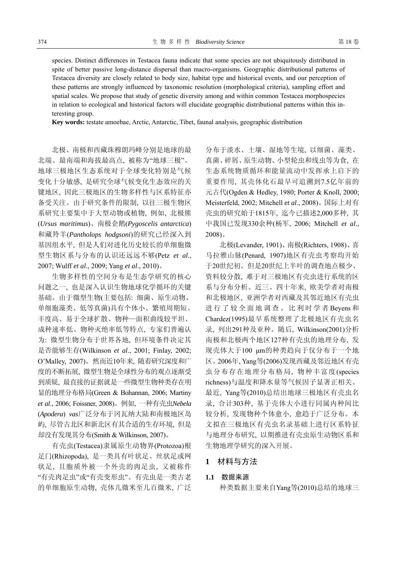species. Distinct differences in Testacea fauna indicate that some species are not ubiquitously distributed in spite of better passive long-distance dispersal than macro-organisms. Geographic distributional patterns of Testacea diversity are closely related to body size, habitat type and historical events, and our perception of these patterns are strongly influenced by taxonomic resolution (morphological criteria), sampling effort and spatial scales. We propose that study of genetic diversity among and within common Testacea morphospecies in relation to ecological and historical factors will elucidate geographic distributional patterns within this interesting group.

**Key words:** testate amoebae, Arctic, Antarctic, Tibet, faunal analysis, geographic distribution

北极、南极和西藏珠穆朗玛峰分别是地球的最 北端、最南端和海拔最高点, 被称为"地球三极"。 地球三极地区生态系统对于全球变化特别是气候 变化十分敏感, 是研究全球气候变化生态效应的关 键地区, 因此三极地区的生物多样性与区系特征亦 备受关注。由于研究条件的限制, 以往三极生物区 系研究主要集中于大型动物或植物, 例如, 北极熊 (*Ursus maritimus*)、南极企鹅(*Pygoscelis antarctica*) 和藏羚羊(*Pantholops hodgsoni*)的研究已经深入到 基因组水平, 但是人们对进化历史较长的单细胞微 型生物区系与分布的认识还远远不够(Petz *et al*., 2007; Wulff *et al*., 2009; Yang *et al*., 2010)。

生物多样性的空间分布是生态学研究的核心 问题之一, 也是深入认识生物地球化学循环的关键 基础。由于微型生物(主要包括: 细菌、原生动物、 单细胞藻类、低等真菌)具有个体小、繁殖周期短、 丰度高、易于全球扩散、物种—面积曲线较平坦、 成种速率低、物种灭绝率低等特点, 专家们普遍认 为: 微型生物分布于世界各地, 但环境条件决定其 是否能够生存(Wilkinson *et al*., 2001; Finlay, 2002; O'Malley, 2007)。然而近10年来, 随着研究深度和广 度的不断拓展, 微型生物是全球性分布的观点逐渐受 到质疑, 最直接的证据就是一些微型生物种类存在明 显的地理分布格局(Green & Bohannan, 2006; Martiny *et al*., 2006; Foissner, 2008)。例如, 一种有壳虫*Nebela*  (*Apodera*) *vas*广泛分布于冈瓦纳大陆和南极地区岛 屿, 尽管古北区和新北区有其合适的生存环境, 但是 却没有发现其分布(Smith & Wilkinson, 2007)。

有壳虫(Testacea)隶属原生动物界(Protozoa)根 足门(Rhizopoda), 是一类具有叶状足、丝状足或网 状足, 且胞质外被一个外壳的肉足虫, 又被称作 "有壳肉足虫"或"有壳变形虫"。有壳虫是一类古老 的单细胞原生动物, 壳体几微米至几百微米, 广泛 分布于淡水、土壤、湿地等生境, 以细菌、藻类、 真菌、碎屑、原生动物、小型轮虫和线虫等为食, 在 生态系统物质循环和能量流动中发挥承上启下的 重要作用, 其壳体化石最早可追溯到7.5亿年前的 元古代(Ogden & Hedley, 1980; Porter & Knoll, 2000; Meisterfeld, 2002; Mitchell *et al*., 2008)。国际上对有 壳虫的研究始于1815年, 迄今已描述2,000多种, 其 中我国已发现330余种(杨军, 2006; Mitchell *et al*., 2008)。

北极(Levander, 1901)、南极(Richters, 1908)、喜 马拉雅山脉(Penard, 1907)地区有壳虫考察均开始 于20世纪初。但是20世纪上半叶的调查地点极少、 资料较分散, 难于对三极地区有壳虫进行系统的区 系与分布分析。近三、四十年来, 欧美学者对南极 和北极地区, 亚洲学者对西藏及其邻近地区有壳虫 进行了较全面地调查。比利时学者 Beyens 和 Chardez(1995)最早系统整理了北极地区有壳虫名 录, 列出291种及亚种。随后, Wilkinson(2001)分析 南极和北极两个地区127种有壳虫的地理分布, 发 现壳体大于100 μm的种类趋向于仅分布于一个地 区。2006年, Yang等(2006)发现西藏及邻近地区有壳 虫分布存在地理分布格局, 物种丰富度(species richness)与温度和降水量等气候因子显著正相关。 最近, Yang等(2010)总结出地球三极地区有壳虫名 录, 合计303种, 基于壳体大小进行同属内种间比 较分析, 发现物种个体愈小, 愈趋于广泛分布。本 文拟在三极地区有壳虫名录基础上进行区系特征 与地理分布研究, 以期推进有壳虫原生动物区系和 生物地理学研究的深入开展。

# **1** 材料与方法

# **1.1** 数据来源

种类数据主要来自Yang等(2010)总结的地球三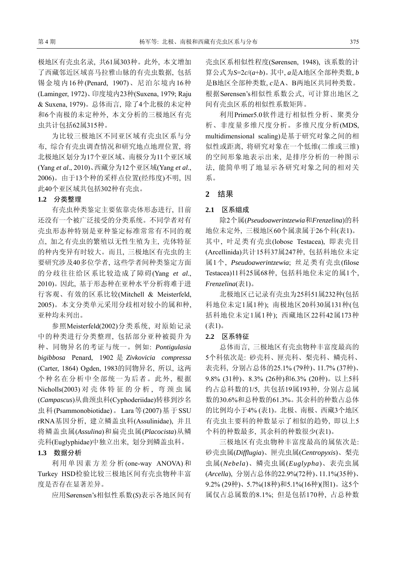极地区有壳虫名录, 共61属303种。此外, 本文增加 了西藏邻近区域喜马拉雅山脉的有壳虫数据, 包括 锡金境内16种(Penard, 1907)、尼泊尔境内16种 (Laminger, 1972)、印度境内23种(Suxena, 1979; Raju & Suxena, 1979)。总体而言, 除了4个北极的未定种 和6个南极的未定种外, 本文分析的三极地区有壳 虫共计包括62属315种。

为比较三极地区不同亚区域有壳虫区系与分 布, 综合有壳虫调查情况和研究地点地理位置, 将 北极地区划分为17个亚区域、南极分为11个亚区域 (Yang *et al*., 2010)、西藏分为12个亚区域(Yang *et al*., 2006)。由于13个种的采样点位置(经纬度)不明, 因 此40个亚区域共包括302种有壳虫。

### **1.2** 分类整理

有壳虫种类鉴定主要依靠壳体形态进行, 目前 还没有一个被广泛接受的分类系统。不同学者对有 壳虫形态种特别是亚种鉴定标准常常有不同的观 点, 加之有壳虫的繁殖以无性生殖为主, 壳体特征 的种内变异有时较大。而且, 三极地区有壳虫的主 要研究涉及40多位学者, 这些学者间种类鉴定方面 的分歧往往给区系比较造成了障碍(Yang *et al*., 2010)。因此, 基于形态种在亚种水平分析将难于进 行客观、有效的区系比较(Mitchell & Meisterfeld, 2005)。本文分类单元采用分歧相对较小的属和种, 亚种均未列出。

参照Meisterfeld(2002)分类系统, 对原始记录 中的种类进行分类整理, 包括部分亚种被提升为 种、同物异名的考证与统一。例如: *Pontigulasia bigibbosa* Penard, 1902 是 *Zivkovicia compressa* (Carter, 1864) Ogden, 1983的同物异名, 所以, 这两 个种名在分析中全部统一为后者。此外, 根据 Nicholls(2003) 对壳体特征的分析, 弯颈虫属 (*Campascus*)从曲颈虫科(Cyphoderiidae)转移到沙名 虫科(Psammonobiotidae)。Lara等(2007)基于SSU rRNA基因分析, 建立鳞盖虫科(Assulinidae), 并且 将鳞盖虫属(*Assulina*)和扁壳虫属(*Placocista*)从鳞 壳科(Euglyphidae)中独立出来, 划分到鳞盖虫科。

#### **1.3** 数据分析

利用单因素方差分析(one-way ANOVA)和 Turkey HSD检验比较三极地区间有壳虫物种丰富 度是否存在显著差异。

应用Sørensen's相似性系数(*S*)表示各地区间有

壳虫区系相似性程度(Sørensen, 1948), 该系数的计 算公式为*S*=2*c*/(*a*+*b*)。其中, *a*是A地区全部种类数, *b* 是B地区全部种类数, *c*是A、B两地区共同种类数。 根据Sørensen's相似性系数公式, 可计算出地区之 间有壳虫区系的相似性系数矩阵。

利用Primer5.0软件进行相似性分析、聚类分 析、非度量多维尺度分析。多维尺度分析(MDS, multidimensional scaling)是基于研究对象之间的相 似性或距离, 将研究对象在一个低维(二维或三维) 的空间形象地表示出来, 是排序分析的一种图示 法, 能简单明了地显示各研究对象之间的相对关 系。

# **2** 结果

# **2.1** 区系组成

除2个属(*Pseudoawerintzewia*和*Frenzelina*)的科 地位未定外, 三极地区60个属隶属于26个科(表1)。 其中, 叶足类有壳虫(lobose Testacea), 即表壳目 (Arcellinida)共计15科37属247种, 包括科地位未定 属1个, *Pseudoawerintzewia*; 丝足类有壳虫(filose Testacea)11科25属68种, 包括科地位未定的属1个, *Frenzelina*(表1)。

北极地区已记录有壳虫为25科51属232种(包括 科地位未定1属1种); 南极地区20科30属131种(包 括科地位未定1属1种); 西藏地区22科42属173种 (表1)。

#### **2.2** 区系特征

总体而言, 三极地区有壳虫物种丰富度最高的 5个科依次是: 砂壳科、匣壳科、梨壳科、鳞壳科、 表壳科, 分别占总体的25.1% (79种)、11.7% (37种)、 9.8% (31种)、8.3% (26种)和6.3% (20种)。以上5科 约占总科数的1/5, 共包括19属193种, 分别占总属 数的30.6%和总种数的61.3%。其余科的种数占总体 的比例均小于4% (表1)。北极、南极、西藏3个地区 有壳虫主要科的种数显示了相似的趋势, 即以上5 个科的种数最多, 其余科的种数很少(表1)。

三极地区有壳虫物种丰富度最高的属依次是: 砂壳虫属(*Difflugia*)、匣壳虫属(*Centropyxis*)、梨壳 虫属(*Nebela*)、鳞壳虫属(*Euglypha*)、表壳虫属 (*Arcella*), 分别占总体的22.9%(72种)、11.1%(35种)、 9.2% (29种)、5.7%(18种)和5.1%(16种)(图1)。这5个 属仅占总属数的8.1%; 但是包括170种, 占总种数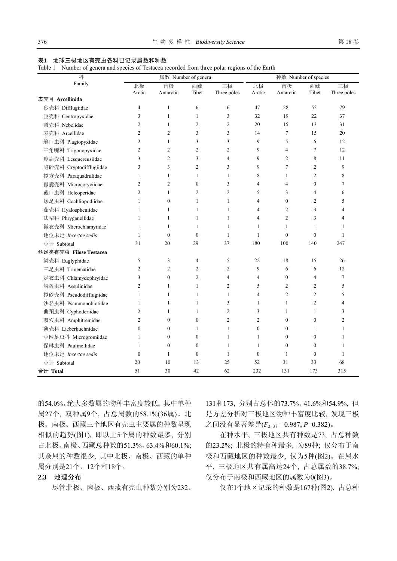#### 表**1** 地球三极地区有壳虫各科已记录属数和种数

Table 1 Number of genera and species of Testacea recorded from three polar regions of the Earth

| 科<br>Family             | 属数 Number of genera |                  |                  |                | 种数 Number of species |                |                  |                |
|-------------------------|---------------------|------------------|------------------|----------------|----------------------|----------------|------------------|----------------|
|                         | 北极                  | 南极               | 西藏               | 三极             | 北极                   | 南极             | 西藏               | 三极             |
| 表壳目 Arcellinida         | Arctic              | Antarctic        | Tibet            | Three poles    | Arctic               | Antarctic      | Tibet            | Three poles    |
| 砂壳科 Difflugiidae        | 4                   | $\mathbf{1}$     | 6                | 6              | 47                   | 28             | 52               | 79             |
| 匣壳科 Centropyxidae       | 3                   | $\mathbf{1}$     | $\mathbf{1}$     | 3              | 32                   | 19             | 22               | 37             |
| 梨壳科 Nebelidae           | $\overline{2}$      | $\mathbf{1}$     | $\overline{2}$   | $\overline{2}$ | 20                   | 15             | 13               | 31             |
| 表壳科 Arcellidae          | $\overline{2}$      | 2                | 3                | 3              | 14                   | 7              | 15               | 20             |
| 缝口虫科 Plagiopyxidae      | $\overline{2}$      | $\mathbf{1}$     | 3                | 3              | 9                    | 5              | 6                | 12             |
| 三角嘴科 Trigonopyxidae     | $\overline{2}$      | $\overline{2}$   | $\overline{2}$   | $\overline{2}$ | 9                    | $\overline{4}$ | $\tau$           | 12             |
| 旋扁壳科 Lesquereusiidae    | 3                   | 2                | 3                | $\overline{4}$ | 9                    | 2              | 8                | 11             |
| 隐砂壳科 Cryptodifflugiidae | 3                   | 3                | $\overline{c}$   | 3              | 9                    | $\overline{7}$ | $\mathfrak{2}$   | 9              |
| 拟方壳科 Paraquadrulidae    | 1                   | $\mathbf{1}$     | $\mathbf{1}$     | $\mathbf{1}$   | 8                    | $\mathbf{1}$   | $\overline{c}$   | 8              |
| 微囊壳科 Microcoryciidae    | $\overline{2}$      | $\overline{c}$   | $\mathbf{0}$     | 3              | $\overline{4}$       | $\overline{4}$ | $\boldsymbol{0}$ | $\tau$         |
|                         | $\overline{2}$      | $\mathbf{1}$     | $\overline{c}$   | $\overline{2}$ | 5                    | 3              | 4                |                |
| 截口虫科 Heleoperidae       | $\mathbf{1}$        | $\boldsymbol{0}$ | $\mathbf{1}$     | $\mathbf{1}$   | $\overline{4}$       | $\mathbf{0}$   | $\mathfrak{2}$   | 6<br>5         |
| 螺足虫科 Cochliopodiidae    |                     |                  |                  |                |                      |                |                  |                |
| 茄壳科 Hyalospheniidae     | $\mathbf{1}$        | $\mathbf{1}$     | $\mathbf{1}$     | $\mathbf{1}$   | $\overline{4}$       | $\overline{c}$ | 3                | $\overline{4}$ |
| 法帽科 Phryganellidae      | 1                   | $\mathbf{1}$     | $\mathbf{1}$     | $\mathbf{1}$   | 4                    | $\overline{2}$ | 3                | 4              |
| 微衣壳科 Microchlamyiidae   | $\mathbf{1}$        | $\mathbf{1}$     | $\mathbf{1}$     | $\mathbf{1}$   | $\mathbf{1}$         | 1              | 1                | $\mathbf{1}$   |
| 地位未定 Incertae sedis     | $\mathbf{1}$        | $\mathbf{0}$     | $\mathbf{0}$     | $\mathbf{1}$   | $\mathbf{1}$         | $\theta$       | $\mathbf{0}$     | $\mathbf{1}$   |
| 小计 Subtotal             | 31                  | 20               | 29               | 37             | 180                  | 100            | 140              | 247            |
| 丝足类有壳虫 Filose Testacea  |                     |                  |                  |                |                      |                |                  |                |
| 鳞壳科 Euglyphidae         | 5                   | 3                | 4                | 5              | 22                   | 18             | 15               | 26             |
| 三足虫科 Trinematidae       | $\overline{2}$      | 2                | $\overline{c}$   | $\overline{2}$ | 9                    | 6              | 6                | 12             |
| 足衣虫科 Chlamydophryidae   | 3                   | $\boldsymbol{0}$ | $\overline{c}$   | $\overline{4}$ | $\overline{4}$       | $\mathbf{0}$   | 4                | $\tau$         |
| 鳞盖虫科 Assulinidae        | $\overline{2}$      | $\mathbf{1}$     | $\mathbf{1}$     | $\overline{2}$ | 5                    | $\overline{2}$ | $\mathfrak{2}$   | 5              |
| 拟砂壳科 Pseudodifflugiidae | 1                   | 1                | 1                | $\mathbf{1}$   | 4                    | 2              | 2                | 5              |
| 沙名虫科 Psammonobiotidae   | 1                   | $\mathbf{1}$     | $\mathbf{1}$     | 3              | $\mathbf{1}$         | 1              | 2                | 4              |
| 曲颈虫科 Cyphoderiidae      | $\overline{2}$      | 1                | 1                | $\overline{2}$ | 3                    | 1              | 1                | 3              |
| 双穴虫科 Amphitremidae      | $\overline{2}$      | $\boldsymbol{0}$ | $\boldsymbol{0}$ | $\overline{2}$ | $\overline{2}$       | $\mathbf{0}$   | $\boldsymbol{0}$ | $\overline{c}$ |
| 薄壳科 Lieberkuehnidae     | $\overline{0}$      | $\boldsymbol{0}$ | 1                | $\mathbf{1}$   | $\mathbf{0}$         | $\mathbf{0}$   | 1                | $\mathbf{1}$   |
| 小网足虫科 Microgromiidae    | 1                   | $\boldsymbol{0}$ | $\mathbf{0}$     | $\mathbf{1}$   | $\mathbf{1}$         | $\mathbf{0}$   | $\mathbf{0}$     | $\mathbf{1}$   |
| 保琳虫科 Paulinellidae      | 1                   | $\boldsymbol{0}$ | $\mathbf{0}$     | $\mathbf{1}$   | $\mathbf{1}$         | $\mathbf{0}$   | $\boldsymbol{0}$ | $\mathbf{1}$   |
| 地位未定 Incertae sedis     | $\overline{0}$      | $\mathbf{1}$     | $\boldsymbol{0}$ | $\mathbf{1}$   | $\mathbf{0}$         | 1              | $\boldsymbol{0}$ | $\mathbf{1}$   |
| 小计 Subtotal             | 20                  | 10               | 13               | 25             | 52                   | 31             | 33               | 68             |
| 合计 Total                | 51                  | 30               | 42               | 62             | 232                  | 131            | 173              | 315            |

的54.0%。绝大多数属的物种丰富度较低, 其中单种 属27个, 双种属9个, 占总属数的58.1%(36属)。北 极、南极、西藏三个地区有壳虫主要属的种数呈现 相似的趋势(图1), 即以上5个属的种数最多, 分别 占北极、南极、西藏总种数的51.3%、63.4%和60.1%; 其余属的种数很少, 其中北极、南极、西藏的单种 属分别是21个、12个和18个。

# **2.3** 地理分布

尽管北极、南极、西藏有壳虫种数分别为232、

131和173, 分别占总体的73.7%、41.6%和54.9%, 但 是方差分析对三极地区物种丰富度比较, 发现三极 之间没有显著差异(*F*2, 37 = 0.987, *P*=0.382)。

在种水平, 三极地区共有种数是73, 占总种数 的23.2%; 北极的特有种最多, 为89种; 仅分布于南 极和西藏地区的种数最少, 仅为5种(图2)。在属水 平, 三极地区共有属高达24个, 占总属数的38.7%; 仅分布于南极和西藏地区的属数为0(图3)。

仅在1个地区记录的种数是167种(图2), 占总种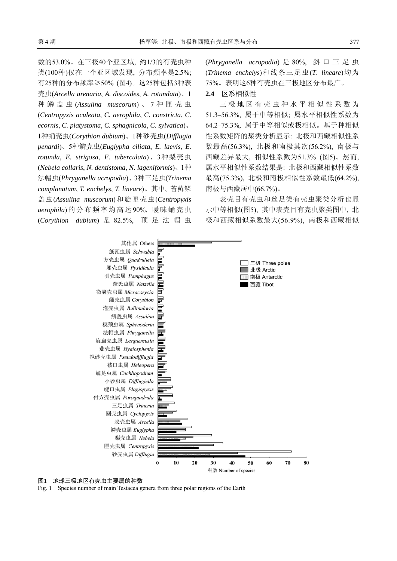数的53.0%。在三极40个亚区域, 约1/3的有壳虫种 类(100种)仅在一个亚区域发现, 分布频率是2.5%; 有25种的分布频率≥50% (图4)。这25种包括3种表 壳虫(*Arcella arenaria*, *A. discoides*, *A. rotundata*)、1 种鳞盖虫 (*Assulina muscorum*) 、 7 种匣壳虫 (*Centropyxis aculeata*, *C. aerophila*, *C. constricta*, *C. ecornis*, *C. platystoma*, *C. sphagnicola*, *C. sylvatica*)、 1种蛹壳虫(*Corythion dubium*)、1种砂壳虫(*Difflugia penardi*)、5种鳞壳虫(*Euglypha ciliata*, *E. laevis*, *E. rotunda*, *E. strigosa*, *E. tuberculata*)、3种梨壳虫 (*Nebela collaris*, *N. dentistoma*, *N. lageniformis*)、1种 法帽虫(*Phryganella acropodia*)、3种三足虫(*Trinema complanatum*, *T. enchelys*, *T. lineare*)。其中, 苔藓鳞 盖虫(*Assulina muscorum*)和旋匣壳虫(*Centropyxis aerophila*)的分布频率均高达90%, 暧昧蛹壳虫 (*Corythion dubium*) 是 82.5%, 顶足法帽虫

(*Phryganella acropodia*) 是 80%, 斜口三足虫 (*Trinema enchely*s)和线条三足虫(*T. lineare*)均为 75%。表明这6种有壳虫在三极地区分布最广。

# **2.4** 区系相似性

三极地区有壳虫种水平相似性系数为 51.3–56.3%, 属于中等相似; 属水平相似性系数为 64.2–75.3%, 属于中等相似或极相似。基于种相似 性系数矩阵的聚类分析显示: 北极和西藏相似性系 数最高(56.3%), 北极和南极其次(56.2%), 南极与 西藏差异最大, 相似性系数为51.3% (图5)。然而, 属水平相似性系数结果是: 北极和西藏相似性系数 最高(75.3%), 北极和南极相似性系数最低(64.2%), 南极与西藏居中(66.7%)。

表壳目有壳虫和丝足类有壳虫聚类分析也显 示中等相似(图5), 其中表壳目有壳虫聚类图中, 北 极和西藏相似系数最大(56.9%), 南极和西藏相似



#### 图**1** 地球三极地区有壳虫主要属的种数

Fig. 1 Species number of main Testacea genera from three polar regions of the Earth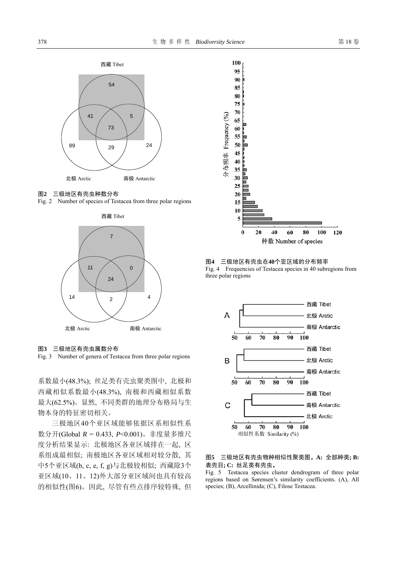

图**2** 三极地区有壳虫种数分布

Fig. 2 Number of species of Testacea from three polar regions



图**3** 三极地区有壳虫属数分布

Fig. 3 Number of genera of Testacea from three polar regions

系数最小(48.3%); 丝足类有壳虫聚类图中, 北极和 西藏相似系数最小(48.3%), 南极和西藏相似系数 最大(62.5%)。显然, 不同类群的地理分布格局与生 物本身的特征密切相关。

三极地区40个亚区域能够依据区系相似性系 数分开(Global *R* = 0.433, *P*<0.001)。非度量多维尺 度分析结果显示: 北极地区各亚区域排在一起, 区 系组成最相似; 南极地区各亚区域相对较分散, 其 中5个亚区域(b, c, e, f, g)与北极较相似; 西藏除3个 亚区域(10、11、12)外大部分亚区域间也具有较高 的相似性(图6)。因此, 尽管有些点排序较特殊, 但



图**4** 三极地区有壳虫在**40**个亚区域的分布频率 Fig. 4 Frequencies of Testacea species in 40 subregions from three polar regions



#### 图**5** 三极地区有壳虫物种相似性聚类图。**A:** 全部种类**; B:**  表壳目**; C:** 丝足类有壳虫。

Fig. 5 Testacea species cluster dendrogram of three polar regions based on Sørensen's similarity coefficients. (A), All species; (B), Arcellinida; (C), Filose Testacea.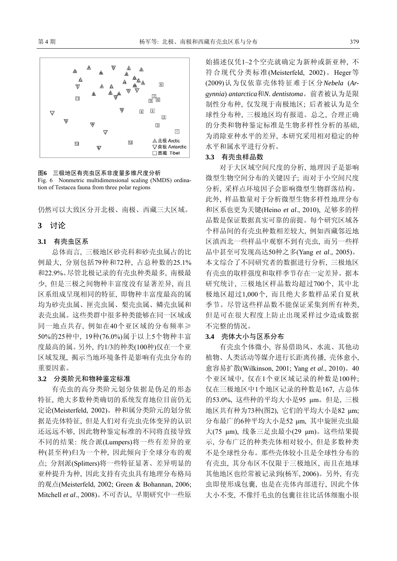

图**6** 三极地区有壳虫区系非度量多维尺度分析 Fig. 6 Nonmetric multidimensional scaling (NMDS) ordination of Testacea fauna from three polar regions

仍然可以大致区分开北极、南极、西藏三大区域。

# **3** 讨论

#### **3.1** 有壳虫区系

总体而言, 三极地区砂壳科和砂壳虫属占的比 例最大, 分别包括79种和72种, 占总种数的25.1% 和22.9%。尽管北极记录的有壳虫种类最多, 南极最 少, 但是三极之间物种丰富度没有显著差异, 而且 区系组成呈现相同的特征, 即物种丰富度最高的属 均为砂壳虫属、匣壳虫属、梨壳虫属、鳞壳虫属和 表壳虫属。这些类群中很多种类能够在同一区域或 同一地点共存, 例如在40个亚区域的分布频率≥ 50%的25种中, 19种(76.0%)属于以上5个物种丰富 度最高的属。另外, 约1/3的种类(100种)仅在一个亚 区域发现, 揭示当地环境条件是影响有壳虫分布的 重要因素。

# **3.2** 分类阶元和物种鉴定标准

有壳虫的高分类阶元划分依据是伪足的形态 特征, 绝大多数种类确切的系统发育地位目前仍无 定论(Meisterfeld, 2002)。种和属分类阶元的划分依 据是壳体特征, 但是人们对有壳虫壳体变异的认识 还远远不够, 因此物种鉴定标准的不同将直接导致 不同的结果: 统合派(Lumpers)将一些有差异的亚 种(甚至种)归为一个种, 因此倾向于全球分布的观 点; 分割派(Splitters)将一些特征显著、差异明显的 亚种提升为种, 因此支持有壳虫具有地理分布格局 的观点(Meisterfeld, 2002; Green & Bohannan, 2006; Mitchell *et al*., 2008)。不可否认, 早期研究中一些原 始描述仅凭1–2个空壳就确定为新种或新亚种, 不 符合现代分类标准(Meisterfeld, 2002)。Heger等 (2009)认为仅依靠壳体特征难于区分*Nebela* (*Argynnia*) *antarctica*和*N. dentistoma*。前者被认为是限 制性分布种, 仅发现于南极地区; 后者被认为是全 球性分布种, 三极地区均有报道。总之, 合理正确 的分类和物种鉴定标准是生物多样性分析的基础, 为消除亚种水平的差异, 本研究采用相对稳定的种 水平和属水平进行分析。

#### **3.3** 有壳虫样品数

对于大区域空间尺度的分析, 地理因子是影响 微型生物空间分布的关键因子; 而对于小空间尺度 分析, 采样点环境因子会影响微型生物群落结构。 此外, 样品数量对于分析微型生物多样性地理分布 和区系也更为关键(Heino *et al*., 2010), 足够多的样 品数是保证数据真实可靠的前提。每个研究区域各 个样品间的有壳虫种数相差较大, 例如西藏邻近地 区滇西北一些样品中观察不到有壳虫, 而另一些样 品中甚至可发现高达50种之多(Yang *et al*., 2005)。 本文综合了不同研究者的数据进行分析, 三极地区 有壳虫的取样强度和取样季节存在一定差异。据本 研究统计, 三极地区样品数均超过700个, 其中北 极地区超过1,000个, 而且绝大多数样品采自夏秋 季节。尽管这些样品数不能保证采集到所有种类, 但是可在很大程度上防止出现采样过少造成数据 不完整的情况。

### **3.4** 壳体大小与区系分布

有壳虫个体微小, 容易借助风、水流、其他动 植物、人类活动等媒介进行长距离传播, 壳体愈小, 愈容易扩散(Wilkinson, 2001; Yang *et al*., 2010)。40 个亚区域中, 仅在1个亚区域记录的种数是100种; 仅在三极地区中1个地区记录的种数是167, 占总体 的53.0%, 这些种的平均大小是95 μm。但是, 三极 地区共有种为73种(图2), 它们的平均大小是82 μm; 分布最广的6种平均大小是52 μm, 其中旋匣壳虫最 大(75 μm), 线条三足虫最小(29 μm)。这些结果提 示, 分布广泛的种类壳体相对较小, 但是多数种类 不是全球性分布。那些壳体较小且是全球性分布的 有壳虫, 其分布区不仅限于三极地区, 而且在地球 其他地区也经常被记录到(杨军, 2006)。另外, 有壳 虫即使形成包囊, 也是在壳体内部进行, 因此个体 大小不变, 不像纤毛虫的包囊往往比活体细胞小很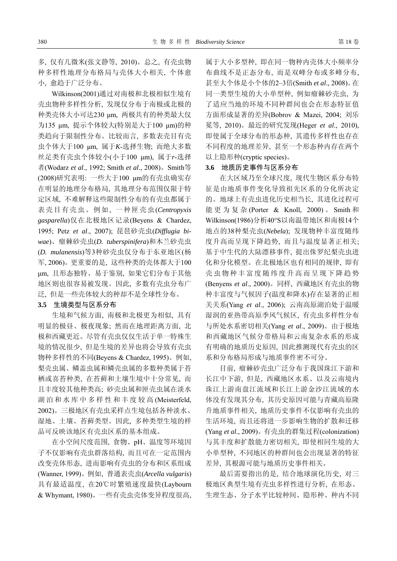多, 仅有几微米(张文静等, 2010)。总之, 有壳虫物 种多样性地理分布格局与壳体大小相关, 个体愈 小, 愈趋于广泛分布。

Wilkinson(2001)通过对南极和北极相似生境有 壳虫物种多样性分析, 发现仅分布于南极或北极的 种类壳体大小可达230 μm, 两极共有的种类最大仅 为135 μm, 提示个体较大(特别是大于100 μm)的种 类趋向于限制性分布。比较而言, 多数表壳目有壳 虫个体大于100 μm, 属于*K*-选择生物; 而绝大多数 丝足类有壳虫个体较小(小于100 μm), 属于*r*-选择 者(Wodarz *et al*., 1992; Smith *et al*., 2008)。Smith等 (2008)研究表明: 一些大于100 μm的有壳虫确实存 在明显的地理分布格局, 其地理分布范围仅限于特 定区域, 不难解释这些限制性分布的有壳虫都属于 表壳目有壳虫。例如, 一种匣壳虫(*Centropyxis gasparella*)仅在北极地区记录(Beyens & Chardez, 1995; Petz *et al*., 2007); 琵琶砂壳虫(*Difflugia biwae*)、瘤棘砂壳虫(*D. tuberspinifera*)和木兰砂壳虫 (*D. mulanensis*)等3种砂壳虫仅分布于东亚地区(杨 军, 2006)。更重要的是, 这些种类的壳体都大于100 μm, 且形态独特、易于鉴别, 如果它们分布于其他 地区则也很容易被发现。因此, 多数有壳虫分布广 泛, 但是一些壳体较大的种却不是全球性分布。

#### **3.5** 生境类型与区系分布

生境和气候方面, 南极和北极更为相似, 具有 明显的极昼、极夜现象; 然而在地理距离方面, 北 极和西藏更近。尽管有壳虫仅仅生活于单一特殊生 境的情况很少, 但是生境的差异也将会导致有壳虫 物种多样性的不同(Beyens & Chardez, 1995)。例如, 梨壳虫属、鳞盖虫属和鳞壳虫属的多数种类属于苔 栖或喜苔种类, 在苔藓和土壤生境中十分常见, 而 且丰度较其他种类高; 砂壳虫属和匣壳虫属在淡水 湖泊和水库中多样性和丰度较高 (Meisterfeld, 2002)。三极地区有壳虫采样点生境包括各种淡水、 湿地、土壤、苔藓类型。因此, 多种类型生境的样 品可反映该地区有壳虫区系的基本组成。

在小空间尺度范围, 食物、pH、温度等环境因 子不仅影响有壳虫群落结构, 而且可在一定范围内 改变壳体形态, 进而影响有壳虫的分布和区系组成 (Wanner, 1999)。例如, 普通表壳虫(*Arcella vulgaris*) 具有最适温度, 在20℃时繁殖速度最快(Laybourn & Whymant, 1980)。一些有壳虫壳体变异程度很高, 属于大小多型种, 即在同一物种内壳体大小频率分 布曲线不是正态分布, 而是双峰分布或多峰分布, 甚至大个体是小个体的2–3倍(Smith *et al*., 2008)。在 同一类型生境的大小单型种, 例如瘤棘砂壳虫, 为 了适应当地的环境不同种群间也会在形态特征值 方面形成显著的差异(Bobrov & Mazei, 2004; 刘乐 冕等, 2010)。最近的研究发现(Heger *et al*., 2010), 即使属于全球分布的形态种, 其遗传多样性也存在 不同程度的地理差异, 甚至一个形态种内存在两个 以上隐形种(cryptic species)。

#### **3.6** 地质历史事件与区系分布

在大区域乃至全球尺度, 现代生物区系分布特 征是由地质事件变化导致祖先区系的分化所决定 的。地球上有壳虫进化历史相当长, 其进化过程可 能更为复杂 (Porter & Knoll, 2000) 。 Smith 和 Wilkinson(1986)分析40°S以南温带地区和南极14个 地点的38种梨壳虫(*Nebela*); 发现物种丰富度随纬 度升高而呈现下降趋势, 而且与温度显著正相关; 基于中生代的大陆漂移事件, 提出侏罗纪梨壳虫进 化和分化模型。在北极地区也有相同的规律, 即有 壳虫物种丰富度随纬度升高而呈现下降趋势 (Benyens *et al*., 2000)。同样, 西藏地区有壳虫的物 种丰富度与气候因子(温度和降水)存在显著的正相 关关系(Yang *et al*., 2006); 云南高原湖泊处于温暖 湿润的亚热带高原季风气候区, 有壳虫多样性分布 与所处水系密切相关(Yang *et al*., 2009)。由于极地 和西藏地区气候分带格局和云南复杂水系的形成 有明确的地质历史原因, 因此推测现代有壳虫的区 系和分布格局形成与地质事件密不可分。

目前, 瘤棘砂壳虫广泛分布于我国珠江下游和 长江中下游, 但是, 西藏地区水系、以及云南境内 珠江上游南盘江流域和长江上游金沙江流域的水 体没有发现其分布, 其历史原因可能与青藏高原隆 升地质事件相关, 地质历史事件不仅影响有壳虫的 生活环境, 而且还将进一步影响生物的扩散和迁移 (Yang *et al*., 2009)。有壳虫的群集过程(colonization) 与其丰度和扩散能力密切相关, 即使相同生境的大 小单型种, 不同地区的种群间也会出现显著的特征 差异, 其根源可能与地质历史事件相关。

最后需要指出的是, 结合地球演化历史, 对三 极地区典型生境有壳虫多样性进行分析, 在形态、 生理生态、分子水平比较种间、隐形种、种内不同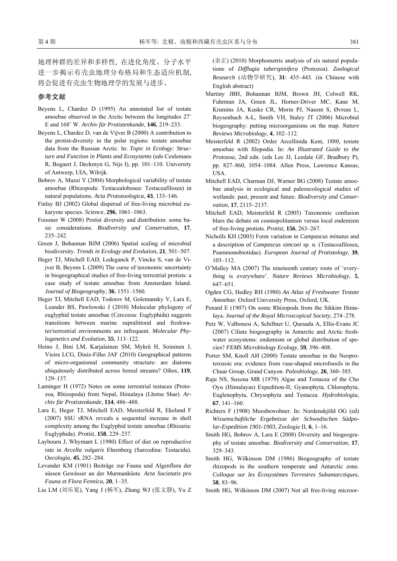地理种群的差异和多样性, 在进化角度、分子水平 进一步揭示有壳虫地理分布格局和生态适应机制, 将会促进有壳虫生物地理学的发展与进步。

#### 参考文献

- Beyens L, Chardez D (1995) An annotated list of testate amoebae observed in the Arctic between the longitudes 27˚ E and 168˚ W. *Archiv für Protistenkunde*, **146**, 219–233.
- Beyens L, Chardez D, van de Vijver B (2000) A contribution to the protist-diversity in the polar regions: testate amoebae data from the Russian Arctic. In: *Topic in Ecology: Structure and Function in Plants and Ecosystems* (eds Ceulemans R, Bogaert J, Deckmyn G, Nijs I), pp. 101–110. University of Antwerp, UIA, Wilrijk.
- Bobrov A, Mazei Y (2004) Morphological variability of testate amoebae (Rhizopoda: Testacealobosea: Testaceafilosea) in natural populations. *Acta Protozoologica*, **43**, 133–146.
- Finlay BJ (2002) Global dispersal of free-living microbial eukaryote species. *Science*, **296**, 1061–1063.
- Foissner W (2008) Protist diversity and distribution: some basic considerations. *Biodiversity and Conservation*, **17**, 235–242.
- Green J, Bohannan BJM (2006) Spatial scaling of microbial biodiversity. *Trends in Ecology and Evolution*, **21**, 501–507.
- Heger TJ, Mitchell EAD, Ledeganck P, Vincke S, van de Vijver B, Beyens L (2009) The curse of taxonomic uncertainty in biogeographical studies of free-living terrestrial protists: a case study of testate amoebae from Amsterdam Island. *Journal of Biogeography*, **36**, 1551–1560.
- Heger TJ, Mitchell EAD, Todorov M, Golemansky V, Lara E, Leander BS, Pawlowski J (2010) Molecular phylogeny of euglyphid testate amoebae (Cercozoa: Euglyphida) suggests transitions between marine supralittoral and freshwater/terrestrial environments are infrequent. *Molecular Phylogenetics and Evolution*, **55**, 113–122.
- Heino J, Bini LM, Karjalainen SM, Mykrä H, Soininen J, Vieira LCG, Diniz-Filho JAF (2010) Geographical patterns of micro-organismal community structure: are diatoms ubiquitously distributed across boreal streams? *Oikos*, **119**, 129–137.
- Laminger H (1972) Notes on some terrestrial testacea (Protozoa, Rhizopoda) from Nepal, Himalaya (Lhotse Shar). *Archiv für Protistenkunde*, **114**, 486–488.
- Lara E, Heger TJ, Mitchell EAD, Meisterfeld R, Ekelund F (2007) SSU rRNA reveals a sequential increase in shell complexity among the Euglyphid testate amoebae (Rhizaria: Euglyphida). *Protist*, **158**, 229–237.
- Laybourn J, Whymant L (1980) Effect of diet on reproductive rate in *Arcella vulgaris* Ehrenberg (Sarcodina: Testacida). *Oecologia*, **45**, 282–284.
- Levander KM (1901) Beiträge zur Fauna und Algenflora der süssen Gewässer an der Murmanküste. *Acta Societatis pro Fauna et Flora Fennica*, **20**, 1–35.
- Liu LM (刘乐冕), Yang J (杨军), Zhang WJ (张文静), Yu Z

(余正) (2010) Morphometric analysis of six natural populations of *Difflugia tuberspinifera* (Protozoa). *Zoological Research* (动物学研究), **31**: 435–443. (in Chinese with English abstract)

- Martiny JBH, Bohannan BJM, Brown JH, Colwell RK, Fuhrman JA, Green JL, Horner-Driver MC, Kane M, Krumins JA, Kuske CR, Morin PJ, Naeem S, Øvreas L, Reysenbach A-L, Smith VH, Staley JT (2006) Microbial biogeography: putting microorganisms on the map. *Nature Reviews Microbiology*, **4**, 102–112.
- Meisterfeld R (2002) Order Arcellinida Kent, 1880, testate amoebae with filopodia. In: *An Illustrated Guide to the Protozoa*, 2nd edn. (eds Lee JJ, Leedale GF, Bradbury P), pp. 827–860, 1054–1084. Allen Press, Lawrence Kansas, USA.
- Mitchell EAD, Charman DJ, Warner BG (2008) Testate amoebae analysis in ecological and paleoecological studies of wetlands: past, present and future. *Biodiversity and Conservation*, **17**, 2115–2137.
- Mitchell EAD, Meisterfeld R (2005) Taxonomic confusion blurs the debate on cosmopolitanism versus local endemism of free-living protists. *Protist*, **156**, 263–267.
- Nicholls KH (2003) Form variation in *Campascus minutus* and a description of *Campascus simcoei* sp. n. (Testaceafilosea, Psammonobiotidae). *European Journal of Protistology*, **39**, 103–112.
- O'Malley MA (2007) The nineteenth century roots of 'everything is everywhere'. *Nature Reviews Microbiology*, **5**, 647–651.
- Ogden CG, Hedley RH (1980) *An Atlas of Freshwater Testate Amoebae*. Oxford University Press, Oxford, UK.
- Penard E (1907) On some Rhizopods from the Sikkim Himalaya. *Journal of the Royal Microscopical Society*, 274–278.
- Petz W, Valbonesi A, Schiftner U, Quesada A, Ellis-Evans JC (2007) Ciliate biogeography in Antarctic and Arctic freshwater ecosystems: endemism or global distribution of species? *FEMS Microbiology Ecology*, **59**, 396–408.
- Porter SM, Knoll AH (2000) Testate amoebae in the Neoproterozoic era: evidence from vase-shaped microfossils in the Chuar Group, Grand Canyon. *Paleobiology*, **26**, 360–385.
- Raju NS, Suxena MR (1979) Algae and Testacea of the Cho Oyu (Himalayas) Expedition-II; Gyanophyta, Chlorophyta, Euglenophyta, Chrysophyta and Testacea. *Hydrobiologia*, **67**, 141–160.
- Richters F (1908) Moosbewohner. In: Nordenskjöld OG (ed) *Wissenschaftliche Ergebnisse der Schwedischen Südpolar-Expedition 1901-1903*, Zoologie II, **6**, 1–16.
- Smith HG, Bobrov A, Lara E (2008) Diversity and biogeography of testate amoebae. *Biodiversity and Conservation*, **17**, 329–343.
- Smith HG, Wilkinson DM (1986) Biogeography of testate rhizopods in the southern temperate and Antarctic zone. *Colloque sur les Écosystèmes Terrestres Subantarctiques*, **58**, 83–96.
- Smith HG, Wilkinson DM (2007) Not all free-living microor-